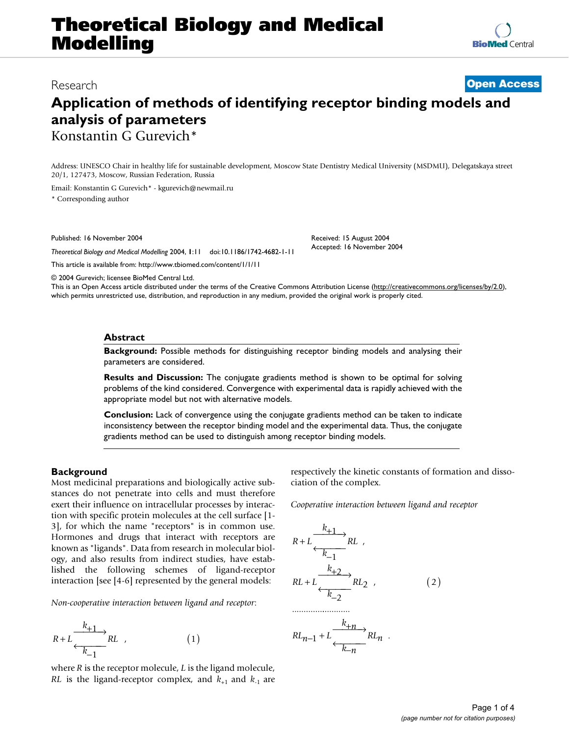# **Theoretical Biology and Medical Modelling**

Research **[Open Access](http://www.biomedcentral.com/info/about/charter/)**

# **Application of methods of identifying receptor binding models and analysis of parameters** Konstantin G Gurevich\*

**[BioMed](http://www.biomedcentral.com/)** Central

Address: UNESCO Chair in healthy life for sustainable development, Moscow State Dentistry Medical University (MSDMU), Delegatskaya street 20/1, 127473, Moscow, Russian Federation, Russia

Email: Konstantin G Gurevich\* - kgurevich@newmail.ru \* Corresponding author

Published: 16 November 2004

*Theoretical Biology and Medical Modelling* 2004, **1**:11 doi:10.1186/1742-4682-1-11

[This article is available from: http://www.tbiomed.com/content/1/1/11](http://www.tbiomed.com/content/1/1/11)

Received: 15 August 2004 Accepted: 16 November 2004

© 2004 Gurevich; licensee BioMed Central Ltd.

This is an Open Access article distributed under the terms of the Creative Commons Attribution License [\(http://creativecommons.org/licenses/by/2.0\)](http://creativecommons.org/licenses/by/2.0), which permits unrestricted use, distribution, and reproduction in any medium, provided the original work is properly cited.

#### **Abstract**

**Background:** Possible methods for distinguishing receptor binding models and analysing their parameters are considered.

**Results and Discussion:** The conjugate gradients method is shown to be optimal for solving problems of the kind considered. Convergence with experimental data is rapidly achieved with the appropriate model but not with alternative models.

**Conclusion:** Lack of convergence using the conjugate gradients method can be taken to indicate inconsistency between the receptor binding model and the experimental data. Thus, the conjugate gradients method can be used to distinguish among receptor binding models.

## **Background**

Most medicinal preparations and biologically active substances do not penetrate into cells and must therefore exert their influence on intracellular processes by interaction with specific protein molecules at the cell surface [1- 3], for which the name "receptors" is in common use. Hormones and drugs that interact with receptors are known as "ligands". Data from research in molecular biology, and also results from indirect studies, have established the following schemes of ligand-receptor interaction [see [4-6] represented by the general models:

*Non-cooperative interaction between ligand and receptor*:

$$
R + L \xrightarrow{k+1} RL \qquad (1)
$$

where *R* is the receptor molecule, *L* is the ligand molecule, *RL* is the ligand-receptor complex, and  $k_{+1}$  and  $k_{-1}$  are respectively the kinetic constants of formation and dissociation of the complex.

*Cooperative interaction between ligand and receptor*

$$
R + L \xrightarrow{k+1} RL
$$
  
\n
$$
RL + L \xrightarrow{k+2} RL
$$
  
\n
$$
RL + L \xrightarrow{k+2} RL
$$
  
\n
$$
RL_{n-1} + L \xrightarrow{k+n} RL_n
$$
 (2)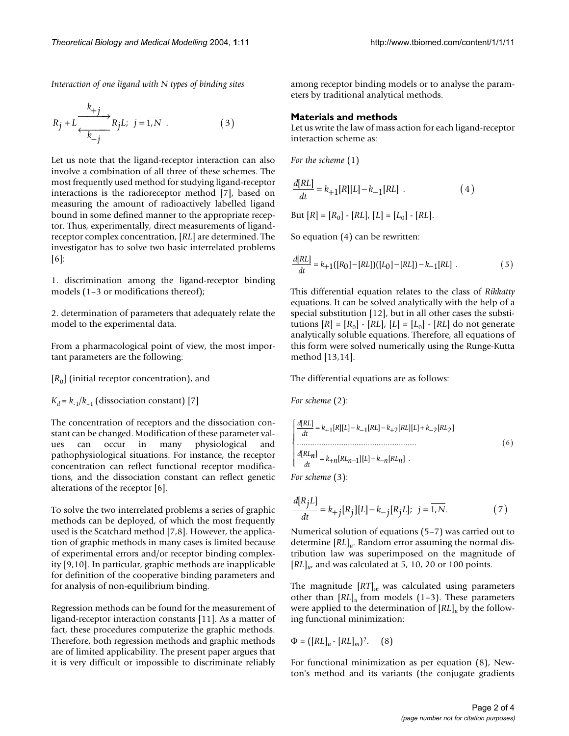*Interaction of one ligand with N types of binding sites*

$$
R_j + L \xrightarrow[k \to j]{k_{+j}} R_j L; \ \ j = \overline{1, N} \ . \tag{3}
$$

Let us note that the ligand-receptor interaction can also involve a combination of all three of these schemes. The most frequently used method for studying ligand-receptor interactions is the radioreceptor method [7], based on measuring the amount of radioactively labelled ligand bound in some defined manner to the appropriate receptor. Thus, experimentally, direct measurements of ligandreceptor complex concentration, [*RL*] are determined. The investigator has to solve two basic interrelated problems [6]:

1. discrimination among the ligand-receptor binding models (1–3 or modifications thereof);

2. determination of parameters that adequately relate the model to the experimental data.

From a pharmacological point of view, the most important parameters are the following:

 $[R_0]$  (initial receptor concentration), and

 $K_d = k_{-1}/k_{+1}$  (dissociation constant) [7]

The concentration of receptors and the dissociation constant can be changed. Modification of these parameter values can occur in many physiological and pathophysiological situations. For instance, the receptor concentration can reflect functional receptor modifications, and the dissociation constant can reflect genetic alterations of the receptor [6].

To solve the two interrelated problems a series of graphic methods can be deployed, of which the most frequently used is the Scatchard method [7,8]. However, the application of graphic methods in many cases is limited because of experimental errors and/or receptor binding complexity [9,10]. In particular, graphic methods are inapplicable for definition of the cooperative binding parameters and for analysis of non-equilibrium binding.

Regression methods can be found for the measurement of ligand-receptor interaction constants [11]. As a matter of fact, these procedures computerize the graphic methods. Therefore, both regression methods and graphic methods are of limited applicability. The present paper argues that it is very difficult or impossible to discriminate reliably among receptor binding models or to analyse the parameters by traditional analytical methods.

#### **Materials and methods**

Let us write the law of mass action for each ligand-receptor interaction scheme as:

*For the scheme* (1)

$$
\frac{d[RL]}{dt} = k_{+1}[R][L] - k_{-1}[RL] .
$$
 (4)

But  $[R] = [R_0] - [RL], [L] = [L_0] - [RL].$ 

So equation (4) can be rewritten:

$$
\frac{d[RL]}{dt} = k_{+1}([R_0] - [RL])([L_0] - [RL]) - k_{-1}[RL] .
$$
 (5)

This differential equation relates to the class of *Rikkatty* equations. It can be solved analytically with the help of a special substitution [12], but in all other cases the substitutions  $[R] = [R_0] - [RL]$ ,  $[L] = [L_0] - [RL]$  do not generate analytically soluble equations. Therefore, all equations of this form were solved numerically using the Runge-Kutta method [13,14].

The differential equations are as follows:

*For scheme* (2):

$$
\begin{cases}\n\frac{d[RL]}{dt} = k_{+1}[R][L] - k_{-1}[RL] - k_{+2}[RL][L] + k_{-2}[RL_2] \\
\vdots \\
\frac{d[RL_n]}{dt} = k_{+n}[RL_{n-1}][L] - k_{-n}[RL_n] \n\end{cases} \tag{6}
$$

*For scheme* (3):

$$
\frac{d[R_jL]}{dt} = k_{+j}[R_j][L] - k_{-j}[R_jL]; \quad j = \overline{1,N}.\tag{7}
$$

Numerical solution of equations (5–7) was carried out to determine [*RL*]*u*. Random error assuming the normal distribution law was superimposed on the magnitude of  $[RL]$ <sub>*u*</sub> and was calculated at 5, 10, 20 or 100 points.

The magnitude [*RT*]*m* was calculated using parameters other than  $[RL]$ <sub>u</sub> from models (1–3). These parameters were applied to the determination of [*RL*]*u* by the following functional minimization:

$$
\Phi = ([RL]_u - [RL]_m)^2. \quad (8)
$$

For functional minimization as per equation (8), Newton's method and its variants (the conjugate gradients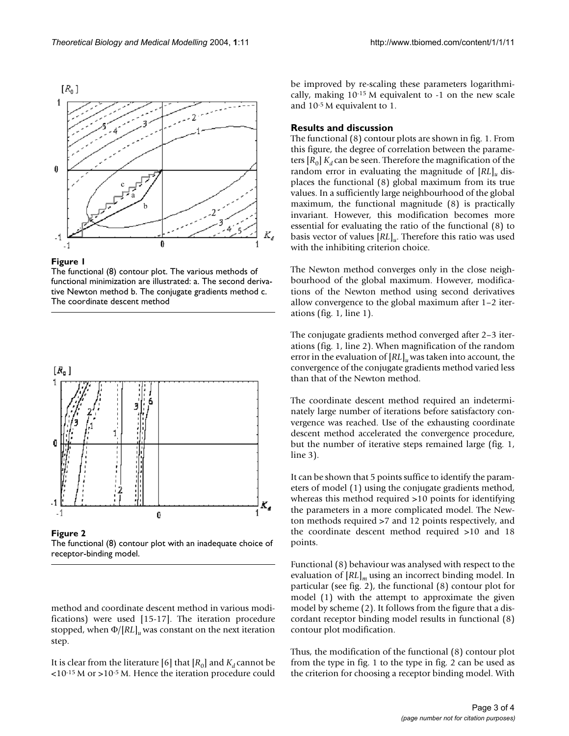



The functional (8) contour plot. The various methods of functional minimization are illustrated: a. The second derivative Newton method b. The conjugate gradients method c. The coordinate descent method



Figure 2 The functional (8) contour plot with an inadequate choice of receptor-binding model.

method and coordinate descent method in various modifications) were used [15-17]. The iteration procedure stopped, when Φ/[*RL*]*u* was constant on the next iteration step.

It is clear from the literature [6] that  $[R_0]$  and  $K_d$  cannot be <10-15 M or >10-5 M. Hence the iteration procedure could

be improved by re-scaling these parameters logarithmically, making 10-15 M equivalent to -1 on the new scale and 10-5 M equivalent to 1.

### **Results and discussion**

The functional (8) contour plots are shown in fig. 1. From this figure, the degree of correlation between the parameters  $[R_0]$   $K_d$  can be seen. Therefore the magnification of the random error in evaluating the magnitude of [*RL*]*u* displaces the functional (8) global maximum from its true values. In a sufficiently large neighbourhood of the global maximum, the functional magnitude (8) is practically invariant. However, this modification becomes more essential for evaluating the ratio of the functional (8) to basis vector of values [*RL*]*u*. Therefore this ratio was used with the inhibiting criterion choice.

The Newton method converges only in the close neighbourhood of the global maximum. However, modifications of the Newton method using second derivatives allow convergence to the global maximum after 1–2 iterations (fig. 1, line 1).

The conjugate gradients method converged after 2–3 iterations (fig. 1, line 2). When magnification of the random error in the evaluation of [*RL*]*u* was taken into account, the convergence of the conjugate gradients method varied less than that of the Newton method.

The coordinate descent method required an indeterminately large number of iterations before satisfactory convergence was reached. Use of the exhausting coordinate descent method accelerated the convergence procedure, but the number of iterative steps remained large (fig. 1, line 3).

It can be shown that 5 points suffice to identify the parameters of model (1) using the conjugate gradients method, whereas this method required >10 points for identifying the parameters in a more complicated model. The Newton methods required >7 and 12 points respectively, and the coordinate descent method required >10 and 18 points.

Functional (8) behaviour was analysed with respect to the evaluation of [*RL*]*m* using an incorrect binding model. In particular (see fig. 2), the functional (8) contour plot for model (1) with the attempt to approximate the given model by scheme (2). It follows from the figure that a discordant receptor binding model results in functional (8) contour plot modification.

Thus, the modification of the functional (8) contour plot from the type in fig. 1 to the type in fig. 2 can be used as the criterion for choosing a receptor binding model. With